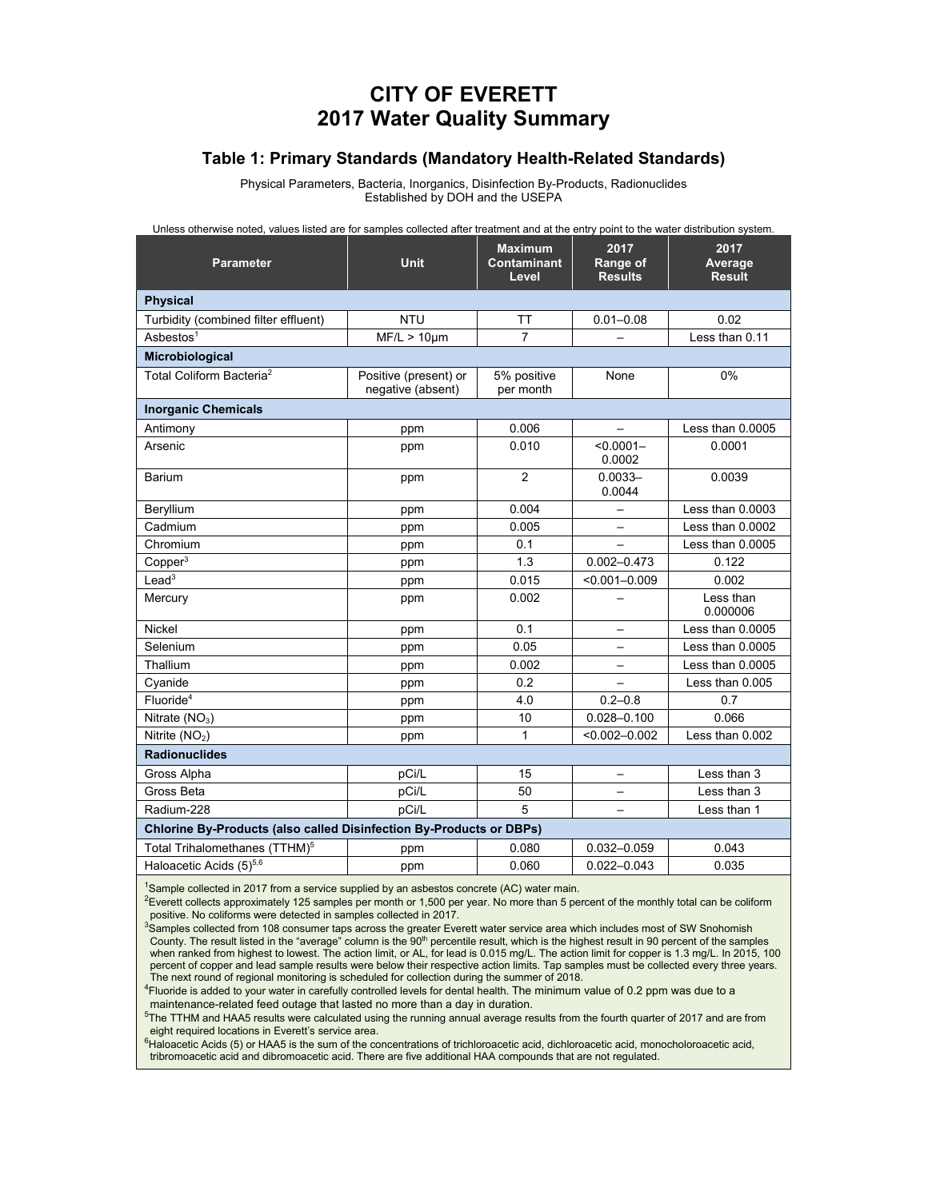#### **Table 1: Primary Standards (Mandatory Health-Related Standards)**

Physical Parameters, Bacteria, Inorganics, Disinfection By-Products, Radionuclides Established by DOH and the USEPA

Unless otherwise noted, values listed are for samples collected after treatment and at the entry point to the water distribution system.

| <b>Parameter</b>                                                    | <b>Unit</b>                                | <b>Maximum</b><br>Contaminant<br>Level | 2017<br>Range of<br><b>Results</b> | 2017<br>Average<br><b>Result</b> |
|---------------------------------------------------------------------|--------------------------------------------|----------------------------------------|------------------------------------|----------------------------------|
| <b>Physical</b>                                                     |                                            |                                        |                                    |                                  |
| Turbidity (combined filter effluent)                                | <b>NTU</b>                                 | TT                                     | $0.01 - 0.08$                      | 0.02                             |
| Asbestos <sup>1</sup>                                               | $MF/L > 10 \mu m$                          | $\overline{7}$                         |                                    | Less than 0.11                   |
| Microbiological                                                     |                                            |                                        |                                    |                                  |
| Total Coliform Bacteria <sup>2</sup>                                | Positive (present) or<br>negative (absent) | 5% positive<br>per month               | None                               | 0%                               |
| <b>Inorganic Chemicals</b>                                          |                                            |                                        |                                    |                                  |
| Antimony                                                            | ppm                                        | 0.006                                  | $\equiv$                           | Less than 0.0005                 |
| Arsenic                                                             | ppm                                        | 0.010                                  | $< 0.0001 -$<br>0.0002             | 0.0001                           |
| <b>Barium</b>                                                       | ppm                                        | $\overline{2}$                         | $0.0033 -$<br>0.0044               | 0.0039                           |
| Beryllium                                                           | ppm                                        | 0.004                                  |                                    | Less than $0.0003$               |
| Cadmium                                                             | ppm                                        | 0.005                                  | $\overline{\phantom{0}}$           | Less than 0.0002                 |
| Chromium                                                            | ppm                                        | 0.1                                    |                                    | Less than $0.0005$               |
| Copper <sup>3</sup>                                                 | ppm                                        | 1.3                                    | $0.002 - 0.473$                    | 0.122                            |
| $L$ ead $3$                                                         | ppm                                        | 0.015                                  | $< 0.001 - 0.009$                  | 0.002                            |
| Mercury                                                             | ppm                                        | 0.002                                  |                                    | Less than<br>0.000006            |
| <b>Nickel</b>                                                       | ppm                                        | 0.1                                    | $\overline{\phantom{0}}$           | Less than 0.0005                 |
| Selenium                                                            | ppm                                        | 0.05                                   | $\overline{\phantom{0}}$           | Less than $0.0005$               |
| Thallium                                                            | ppm                                        | 0.002                                  | —                                  | Less than $0.0005$               |
| Cyanide                                                             | ppm                                        | 0.2                                    |                                    | Less than 0.005                  |
| Fluoride <sup>4</sup>                                               | ppm                                        | 4.0                                    | $0.2 - 0.8$                        | 0.7                              |
| Nitrate $(NO3)$                                                     | ppm                                        | 10                                     | $0.028 - 0.100$                    | 0.066                            |
| Nitrite $(NO2)$                                                     | ppm                                        | $\mathbf{1}$                           | $< 0.002 - 0.002$                  | Less than 0.002                  |
| <b>Radionuclides</b>                                                |                                            |                                        |                                    |                                  |
| Gross Alpha                                                         | pCi/L                                      | 15                                     | $\qquad \qquad -$                  | Less than 3                      |
| Gross Beta                                                          | pCi/L                                      | 50                                     | $\overline{\phantom{0}}$           | Less than 3                      |
| Radium-228                                                          | pCi/L                                      | 5                                      |                                    | Less than 1                      |
| Chlorine By-Products (also called Disinfection By-Products or DBPs) |                                            |                                        |                                    |                                  |
| Total Trihalomethanes (TTHM) <sup>5</sup>                           | ppm                                        | 0.080                                  | $0.032 - 0.059$                    | 0.043                            |
| Haloacetic Acids (5) <sup>5,6</sup>                                 | ppm                                        | 0.060                                  | $0.022 - 0.043$                    | 0.035                            |
|                                                                     |                                            |                                        |                                    |                                  |

<sup>1</sup>Sample collected in 2017 from a service supplied by an asbestos concrete (AC) water main.

2 Everett collects approximately 125 samples per month or 1,500 per year. No more than 5 percent of the monthly total can be coliform positive. No coliforms were detected in samples collected in 2017.

<sup>3</sup>Samples collected from 108 consumer taps across the greater Everett water service area which includes most of SW Snohomish County. The result listed in the "average" column is the 90<sup>th</sup> percentile result, which is the highest result in 90 percent of the samples when ranked from highest to lowest. The action limit, or AL, for lead is 0.015 mg/L. The action limit for copper is 1.3 mg/L. In 2015, 100 percent of copper and lead sample results were below their respective action limits. Tap samples must be collected every three years. The next round of regional monitoring is scheduled for collection during the summer of 2018.<br><sup>4</sup>Elugride is added to your water in carefully controlled levels for dental bealth. The minimum

Fluoride is added to your water in carefully controlled levels for dental health. The minimum value of 0.2 ppm was due to a maintenance-related feed outage that lasted no more than a day in duration. 5

The TTHM and HAA5 results were calculated using the running annual average results from the fourth quarter of 2017 and are from eight required locations in Everett's service area.

<sup>6</sup>Haloacetic Acids (5) or HAA5 is the sum of the concentrations of trichloroacetic acid, dichloroacetic acid, monocholoroacetic acid, tribromoacetic acid and dibromoacetic acid. There are five additional HAA compounds that are not regulated.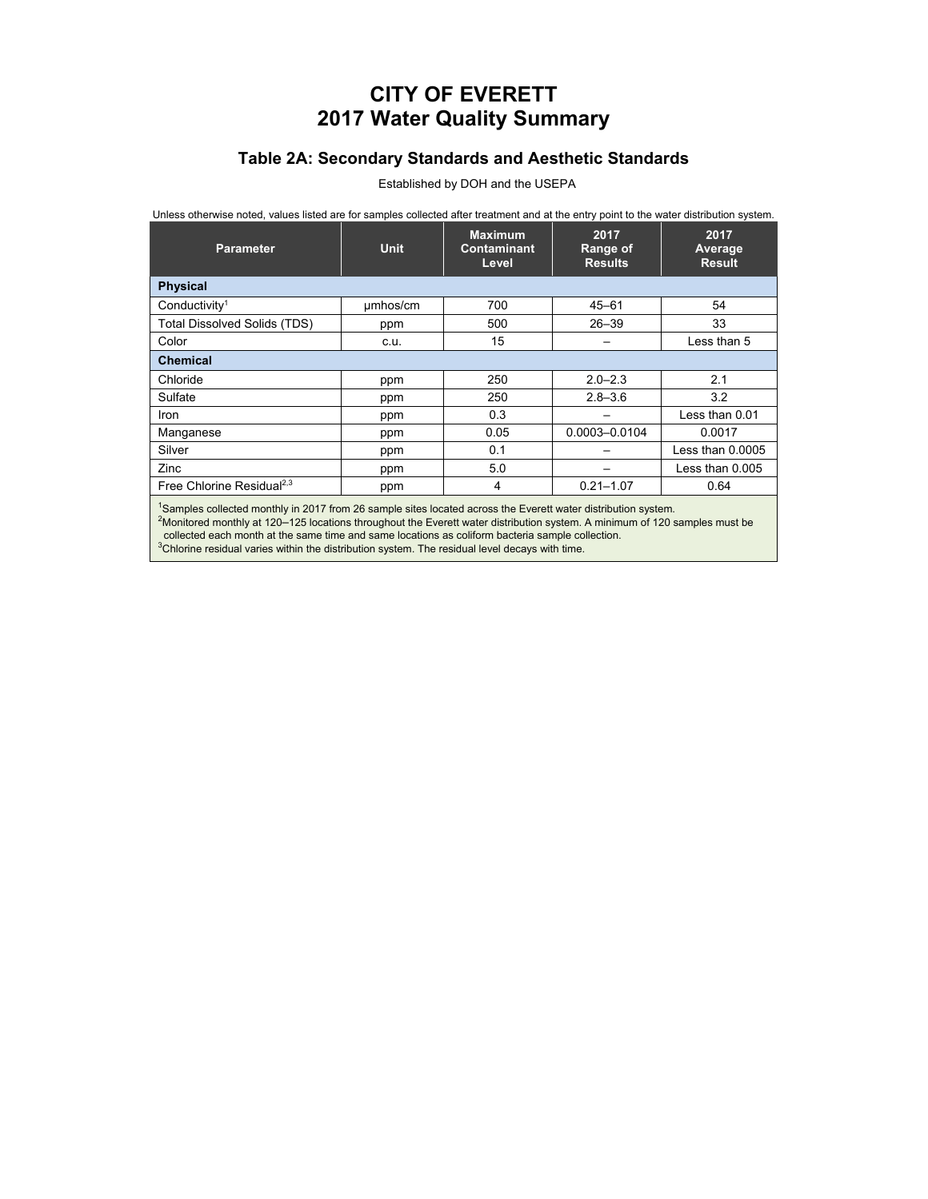### **Table 2A: Secondary Standards and Aesthetic Standards**

Established by DOH and the USEPA

| <b>Parameter</b>                      | <b>Unit</b> | <b>Maximum</b><br><b>Contaminant</b><br>Level | 2017<br>Range of<br><b>Results</b> | 2017<br>Average<br><b>Result</b> |
|---------------------------------------|-------------|-----------------------------------------------|------------------------------------|----------------------------------|
| <b>Physical</b>                       |             |                                               |                                    |                                  |
| Conductivity <sup>1</sup>             | umhos/cm    | 700                                           | $45 - 61$                          | 54                               |
| <b>Total Dissolved Solids (TDS)</b>   | ppm         | 500                                           | $26 - 39$                          | 33                               |
| Color                                 | c.u.        | 15                                            |                                    | Less than 5                      |
| <b>Chemical</b>                       |             |                                               |                                    |                                  |
| Chloride                              | ppm         | 250                                           | $2.0 - 2.3$                        | 2.1                              |
| Sulfate                               | ppm         | 250                                           | $2.8 - 3.6$                        | 3.2                              |
| Iron                                  | ppm         | 0.3                                           |                                    | Less than 0.01                   |
| Manganese                             | ppm         | 0.05                                          | 0.0003-0.0104                      | 0.0017                           |
| Silver                                | ppm         | 0.1                                           |                                    | Less than $0.0005$               |
| Zinc                                  | ppm         | 5.0                                           |                                    | Less than 0.005                  |
| Free Chlorine Residual <sup>2,3</sup> | ppm         | 4                                             | $0.21 - 1.07$                      | 0.64                             |

Unless otherwise noted, values listed are for samples collected after treatment and at the entry point to the water distribution system.

1 Samples collected monthly in 2017 from 26 sample sites located across the Everett water distribution system.

2 Monitored monthly at 120–125 locations throughout the Everett water distribution system. A minimum of 120 samples must be collected each month at the same time and same locations as coliform bacteria sample collection.

<sup>3</sup>Chlorine residual varies within the distribution system. The residual level decays with time.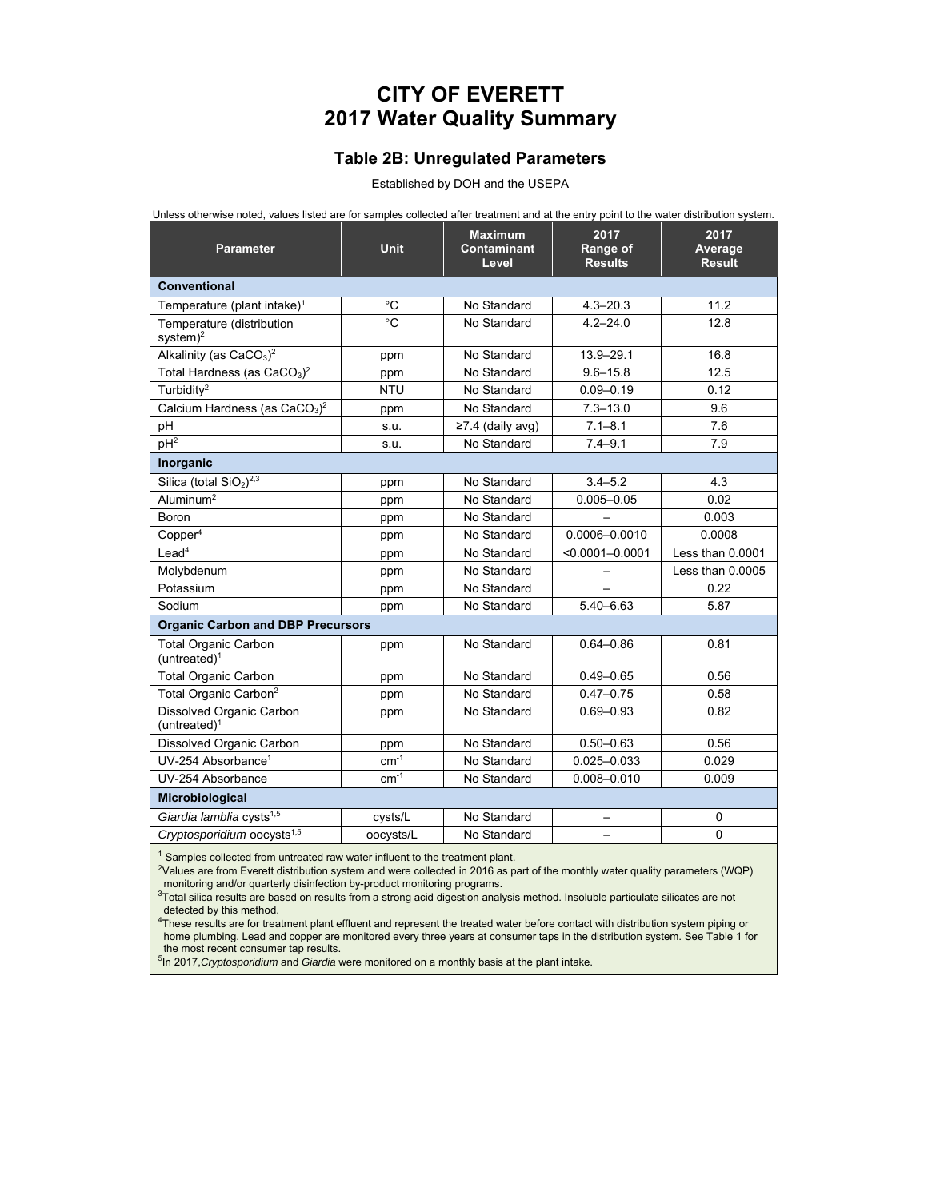#### **Table 2B: Unregulated Parameters**

Established by DOH and the USEPA

| <b>Parameter</b>                                     | <b>Unit</b>  | document and at the entity p<br><b>Maximum</b><br><b>Contaminant</b><br>Level | 2017<br>Range of<br><b>Results</b> | $\frac{1}{2}$ and $\frac{1}{2}$ and $\frac{1}{2}$ and $\frac{1}{2}$ and $\frac{1}{2}$ and $\frac{1}{2}$ and $\frac{1}{2}$<br>2017<br>Average<br><b>Result</b> |  |  |
|------------------------------------------------------|--------------|-------------------------------------------------------------------------------|------------------------------------|---------------------------------------------------------------------------------------------------------------------------------------------------------------|--|--|
| <b>Conventional</b>                                  |              |                                                                               |                                    |                                                                                                                                                               |  |  |
| Temperature (plant intake) <sup>1</sup>              | $^{\circ}$ C | No Standard                                                                   | $4.3 - 20.3$                       | 11.2                                                                                                                                                          |  |  |
| Temperature (distribution<br>system $)^2$            | $^{\circ}$ C | No Standard                                                                   | $4.2 - 24.0$                       | 12.8                                                                                                                                                          |  |  |
| Alkalinity (as $CaCO3$ ) <sup>2</sup>                | ppm          | No Standard                                                                   | $13.9 - 29.1$                      | 16.8                                                                                                                                                          |  |  |
| Total Hardness (as CaCO <sub>3</sub> ) <sup>2</sup>  | ppm          | No Standard                                                                   | $9.6 - 15.8$                       | 12.5                                                                                                                                                          |  |  |
| Turbidity $2$                                        | NTU          | No Standard                                                                   | $0.09 - 0.19$                      | 0.12                                                                                                                                                          |  |  |
| Calcium Hardness (as $CaCO3$ ) <sup>2</sup>          | ppm          | No Standard                                                                   | $7.3 - 13.0$                       | 9.6                                                                                                                                                           |  |  |
| pH                                                   | S.U.         | ≥7.4 (daily avg)                                                              | $7.1 - 8.1$                        | 7.6                                                                                                                                                           |  |  |
| $pH^2$                                               | s.u.         | No Standard                                                                   | $7.4 - 9.1$                        | 7.9                                                                                                                                                           |  |  |
| Inorganic                                            |              |                                                                               |                                    |                                                                                                                                                               |  |  |
| Silica (total $SiO2)2,3$                             | ppm          | No Standard                                                                   | $3.4 - 5.2$                        | 4.3                                                                                                                                                           |  |  |
| Aluminum <sup>2</sup>                                | ppm          | No Standard                                                                   | $0.005 - 0.05$                     | 0.02                                                                                                                                                          |  |  |
| Boron                                                | ppm          | No Standard                                                                   |                                    | 0.003                                                                                                                                                         |  |  |
| Copper <sup>4</sup>                                  | ppm          | No Standard                                                                   | 0.0006-0.0010                      | 0.0008                                                                                                                                                        |  |  |
| Lead <sup>4</sup>                                    | ppm          | No Standard                                                                   | $< 0.0001 - 0.0001$                | Less than 0.0001                                                                                                                                              |  |  |
| Molybdenum                                           | ppm          | No Standard                                                                   |                                    | Less than 0.0005                                                                                                                                              |  |  |
| Potassium                                            | ppm          | No Standard                                                                   |                                    | 0.22                                                                                                                                                          |  |  |
| Sodium                                               | ppm          | No Standard                                                                   | $5.40 - 6.63$                      | 5.87                                                                                                                                                          |  |  |
| <b>Organic Carbon and DBP Precursors</b>             |              |                                                                               |                                    |                                                                                                                                                               |  |  |
| <b>Total Organic Carbon</b><br>$(untreated)^1$       | ppm          | No Standard                                                                   | $0.64 - 0.86$                      | 0.81                                                                                                                                                          |  |  |
| <b>Total Organic Carbon</b>                          | ppm          | No Standard                                                                   | $0.49 - 0.65$                      | 0.56                                                                                                                                                          |  |  |
| Total Organic Carbon <sup>2</sup>                    | ppm          | No Standard                                                                   | $0.47 - 0.75$                      | 0.58                                                                                                                                                          |  |  |
| Dissolved Organic Carbon<br>(untreated) <sup>1</sup> | ppm          | No Standard                                                                   | $0.69 - 0.93$                      | 0.82                                                                                                                                                          |  |  |
| Dissolved Organic Carbon                             | ppm          | No Standard                                                                   | $0.50 - 0.63$                      | 0.56                                                                                                                                                          |  |  |
| UV-254 Absorbance <sup>1</sup>                       | $cm-1$       | No Standard                                                                   | $0.025 - 0.033$                    | 0.029                                                                                                                                                         |  |  |
| UV-254 Absorbance                                    | $cm-1$       | No Standard                                                                   | $0.008 - 0.010$                    | 0.009                                                                                                                                                         |  |  |
| Microbiological                                      |              |                                                                               |                                    |                                                                                                                                                               |  |  |
| Giardia lamblia cysts <sup>1,5</sup>                 | cysts/L      | No Standard                                                                   | $\overline{\phantom{0}}$           | 0                                                                                                                                                             |  |  |
| Cryptosporidium oocysts <sup>1,5</sup>               | oocysts/L    | No Standard                                                                   |                                    | $\Omega$                                                                                                                                                      |  |  |

Unless otherwise noted, values listed are for samples collected after treatment and at the entry point to the water distribution system.

 $1$  Samples collected from untreated raw water influent to the treatment plant.

<sup>2</sup>Values are from Everett distribution system and were collected in 2016 as part of the monthly water quality parameters (WQP) monitoring and/or quarterly disinfection by-product monitoring programs.

 $3$ Total silica results are based on results from a strong acid digestion analysis method. Insoluble particulate silicates are not detected by this method.

4 These results are for treatment plant effluent and represent the treated water before contact with distribution system piping or home plumbing. Lead and copper are monitored every three years at consumer taps in the distribution system. See Table 1 for the most recent consumer tap results.

5 In 2017,*Cryptosporidium* and *Giardia* were monitored on a monthly basis at the plant intake.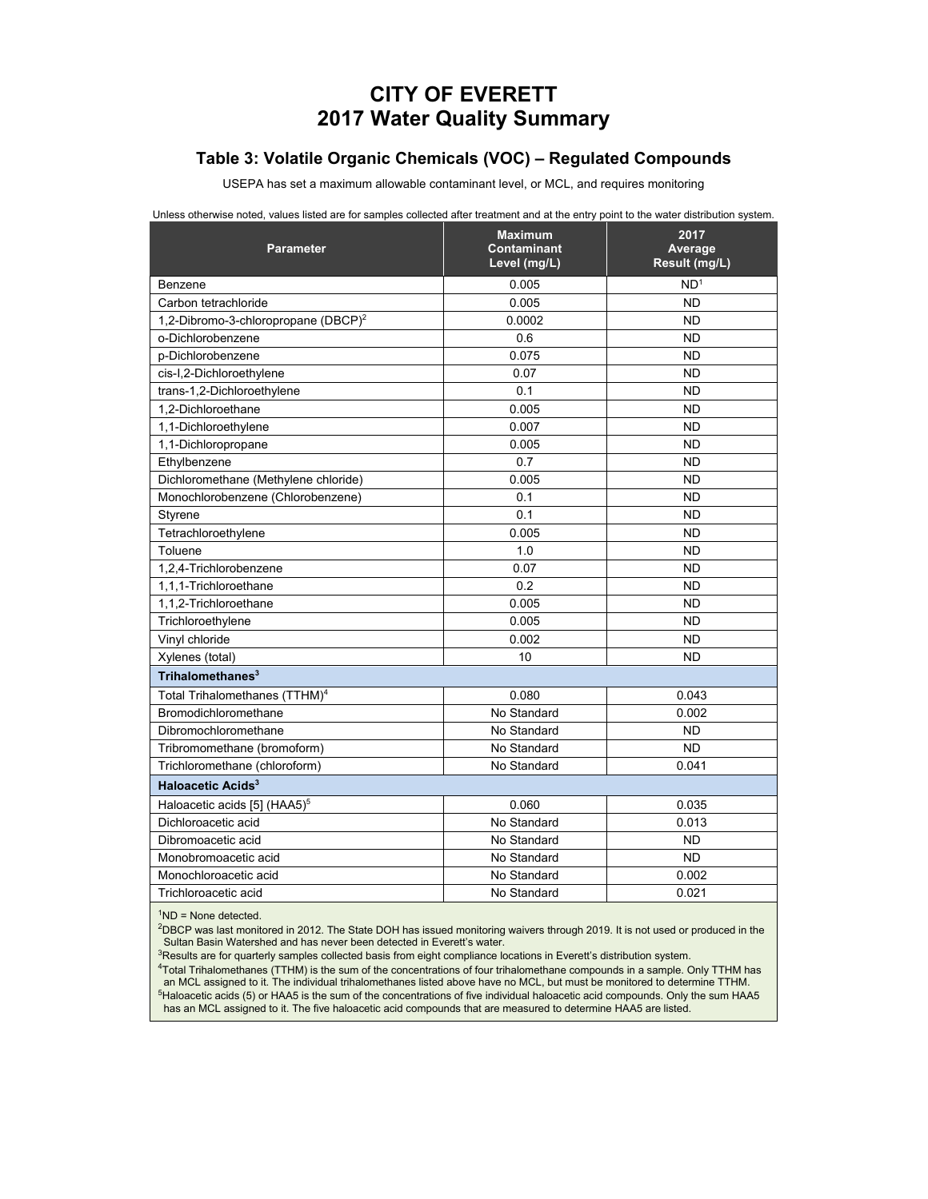### **Table 3: Volatile Organic Chemicals (VOC) – Regulated Compounds**

USEPA has set a maximum allowable contaminant level, or MCL, and requires monitoring

| <b>Parameter</b>                                | <b>Maximum</b><br>Contaminant<br>Level (mg/L) | 2017<br>Average<br>Result (mg/L) |  |  |
|-------------------------------------------------|-----------------------------------------------|----------------------------------|--|--|
| Benzene                                         | 0.005                                         | ND <sup>1</sup>                  |  |  |
| Carbon tetrachloride                            | 0.005                                         | <b>ND</b>                        |  |  |
| 1,2-Dibromo-3-chloropropane (DBCP) <sup>2</sup> | 0.0002                                        | <b>ND</b>                        |  |  |
| o-Dichlorobenzene                               | 0.6                                           | <b>ND</b>                        |  |  |
| p-Dichlorobenzene                               | 0.075                                         | <b>ND</b>                        |  |  |
| cis-I,2-Dichloroethylene                        | 0.07                                          | ND                               |  |  |
| trans-1,2-Dichloroethylene                      | 0.1                                           | <b>ND</b>                        |  |  |
| 1,2-Dichloroethane                              | 0.005                                         | <b>ND</b>                        |  |  |
| 1,1-Dichloroethylene                            | 0.007                                         | <b>ND</b>                        |  |  |
| 1,1-Dichloropropane                             | 0.005                                         | <b>ND</b>                        |  |  |
| Ethylbenzene                                    | 0.7                                           | <b>ND</b>                        |  |  |
| Dichloromethane (Methylene chloride)            | 0.005                                         | <b>ND</b>                        |  |  |
| Monochlorobenzene (Chlorobenzene)               | 0.1                                           | ND                               |  |  |
| Styrene                                         | 0.1                                           | ND                               |  |  |
| Tetrachloroethylene                             | 0.005                                         | <b>ND</b>                        |  |  |
| Toluene                                         | 1.0                                           | <b>ND</b>                        |  |  |
| 1,2,4-Trichlorobenzene                          | 0.07                                          | <b>ND</b>                        |  |  |
| 1.1.1-Trichloroethane                           | 0.2                                           | <b>ND</b>                        |  |  |
| 1.1.2-Trichloroethane                           | 0.005                                         | <b>ND</b>                        |  |  |
| Trichloroethylene                               | 0.005                                         | <b>ND</b>                        |  |  |
| Vinyl chloride                                  | 0.002                                         | ND                               |  |  |
| Xylenes (total)                                 | 10                                            | ND                               |  |  |
| Trihalomethanes <sup>3</sup>                    |                                               |                                  |  |  |
| Total Trihalomethanes (TTHM) <sup>4</sup>       | 0.080                                         | 0.043                            |  |  |
| Bromodichloromethane                            | No Standard                                   | 0.002                            |  |  |
| Dibromochloromethane                            | No Standard                                   | <b>ND</b>                        |  |  |
| Tribromomethane (bromoform)                     | No Standard                                   | <b>ND</b>                        |  |  |
| Trichloromethane (chloroform)                   | No Standard                                   | 0.041                            |  |  |
| Haloacetic Acids <sup>3</sup>                   |                                               |                                  |  |  |
| Haloacetic acids [5] (HAA5) <sup>5</sup>        | 0.060                                         | 0.035                            |  |  |
| Dichloroacetic acid                             | No Standard                                   | 0.013                            |  |  |
| Dibromoacetic acid                              | No Standard                                   | <b>ND</b>                        |  |  |
| Monobromoacetic acid                            | No Standard                                   | <b>ND</b>                        |  |  |
| Monochloroacetic acid                           | No Standard                                   | 0.002                            |  |  |
| Trichloroacetic acid                            | No Standard                                   | 0.021                            |  |  |

Unless otherwise noted, values listed are for samples collected after treatment and at the entry point to the water distribution system.

 $1^1$ ND = None detected.

2 DBCP was last monitored in 2012. The State DOH has issued monitoring waivers through 2019. It is not used or produced in the Sultan Basin Watershed and has never been detected in Everett's water.

 ${}^{3}$ Results are for quarterly samples collected basis from eight compliance locations in Everett's distribution system.

4 Total Trihalomethanes (TTHM) is the sum of the concentrations of four trihalomethane compounds in a sample. Only TTHM has an MCL assigned to it. The individual trihalomethanes listed above have no MCL, but must be monitored to determine TTHM.  $^5$ Haloacetic acids (5) or HAA5 is the sum of the concentrations of five individual haloacetic acid compounds. Only the sum HAA5 has an MCL assigned to it. The five haloacetic acid compounds that are measured to determine HAA5 are listed.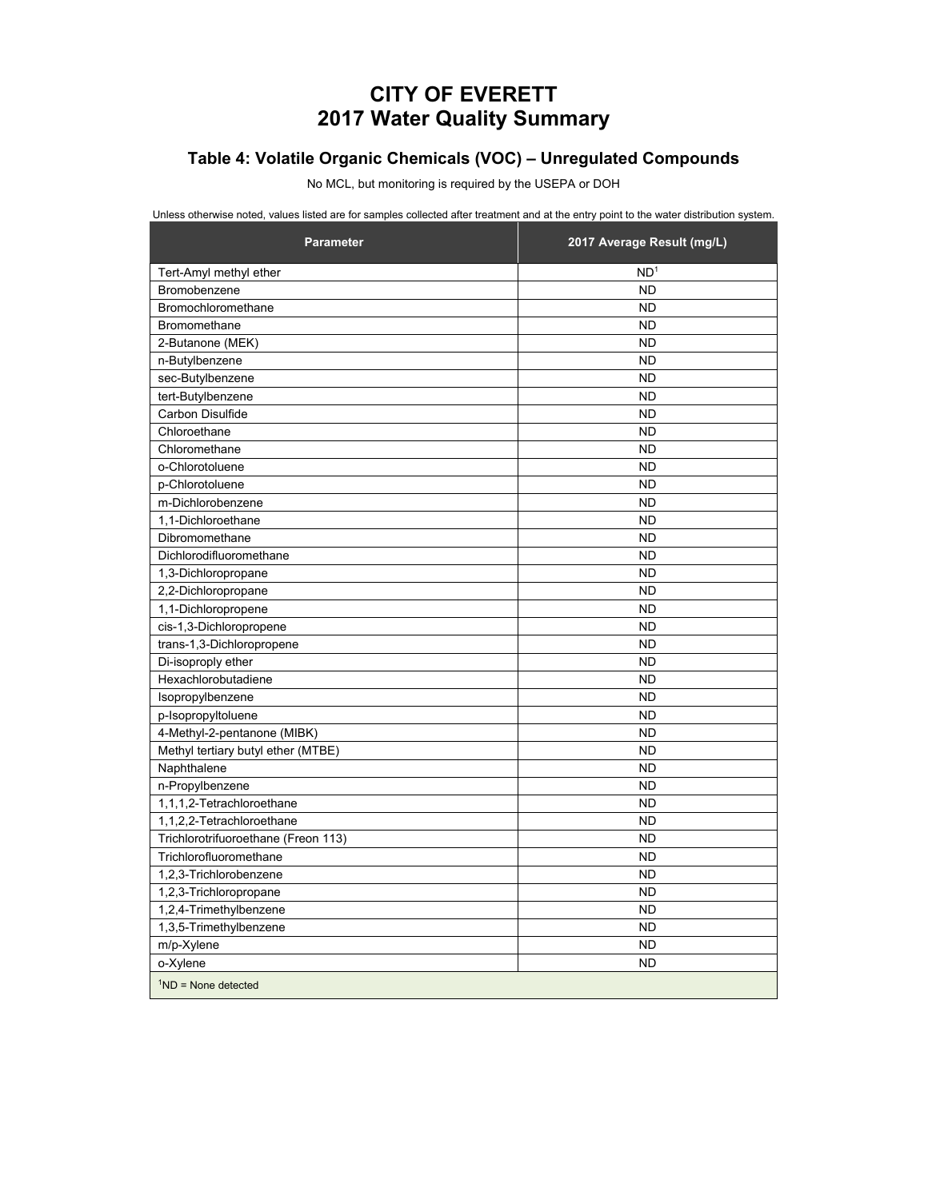### **Table 4: Volatile Organic Chemicals (VOC) – Unregulated Compounds**

No MCL, but monitoring is required by the USEPA or DOH

Unless otherwise noted, values listed are for samples collected after treatment and at the entry point to the water distribution system.

| <b>Parameter</b>                                | 2017 Average Result (mg/L) |
|-------------------------------------------------|----------------------------|
| Tert-Amyl methyl ether                          | ND <sup>1</sup>            |
| Bromobenzene                                    | <b>ND</b>                  |
| Bromochloromethane                              | <b>ND</b>                  |
| Bromomethane                                    | <b>ND</b>                  |
| 2-Butanone (MEK)                                | <b>ND</b>                  |
| n-Butylbenzene                                  | <b>ND</b>                  |
| sec-Butylbenzene                                | <b>ND</b>                  |
| tert-Butylbenzene                               | <b>ND</b>                  |
| Carbon Disulfide                                | <b>ND</b>                  |
| Chloroethane                                    | <b>ND</b>                  |
| Chloromethane                                   | <b>ND</b>                  |
| o-Chlorotoluene                                 | <b>ND</b>                  |
| p-Chlorotoluene                                 | <b>ND</b>                  |
| m-Dichlorobenzene                               | <b>ND</b>                  |
| 1,1-Dichloroethane                              | <b>ND</b>                  |
| Dibromomethane                                  | <b>ND</b>                  |
| Dichlorodifluoromethane                         | <b>ND</b>                  |
|                                                 | <b>ND</b>                  |
| 1,3-Dichloropropane<br>2,2-Dichloropropane      | <b>ND</b>                  |
|                                                 | <b>ND</b>                  |
| 1,1-Dichloropropene                             | <b>ND</b>                  |
| cis-1,3-Dichloropropene                         | <b>ND</b>                  |
| trans-1,3-Dichloropropene<br>Di-isoproply ether | <b>ND</b>                  |
| Hexachlorobutadiene                             | <b>ND</b>                  |
| Isopropylbenzene                                | <b>ND</b>                  |
|                                                 | <b>ND</b>                  |
| p-Isopropyltoluene                              |                            |
| 4-Methyl-2-pentanone (MIBK)                     | <b>ND</b>                  |
| Methyl tertiary butyl ether (MTBE)              | <b>ND</b>                  |
| Naphthalene                                     | <b>ND</b>                  |
| n-Propylbenzene                                 | <b>ND</b>                  |
| 1,1,1,2-Tetrachloroethane                       | <b>ND</b>                  |
| 1,1,2,2-Tetrachloroethane                       | <b>ND</b>                  |
| Trichlorotrifuoroethane (Freon 113)             | <b>ND</b>                  |
| Trichlorofluoromethane                          | <b>ND</b>                  |
| 1,2,3-Trichlorobenzene                          | <b>ND</b>                  |
| 1,2,3-Trichloropropane                          | <b>ND</b>                  |
| 1,2,4-Trimethylbenzene                          | <b>ND</b>                  |
| 1,3,5-Trimethylbenzene                          | <b>ND</b>                  |
| m/p-Xylene                                      | <b>ND</b>                  |
| o-Xylene                                        | <b>ND</b>                  |
| $1^1$ ND = None detected                        |                            |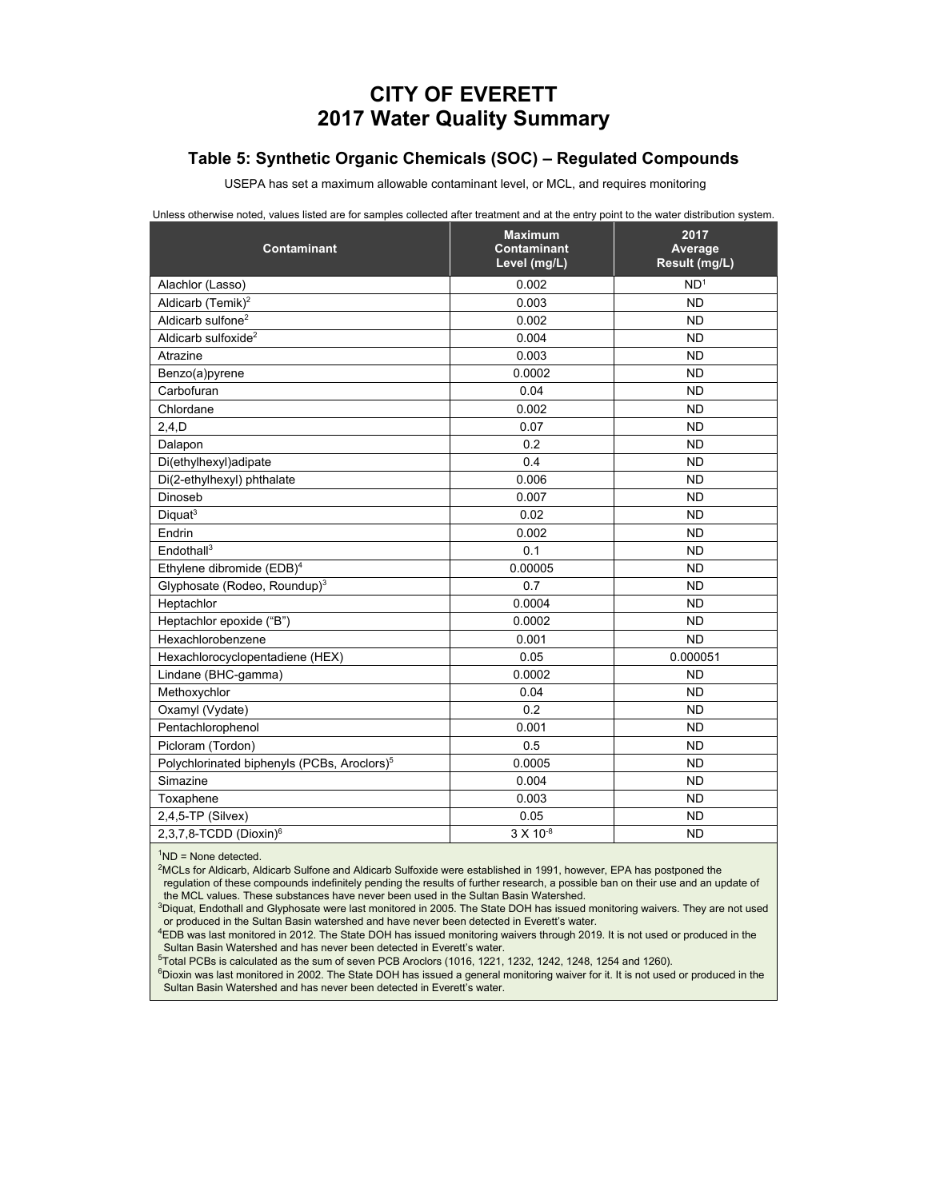### **Table 5: Synthetic Organic Chemicals (SOC) – Regulated Compounds**

USEPA has set a maximum allowable contaminant level, or MCL, and requires monitoring

| <b>Contaminant</b>                                      | <b>Maximum</b><br><b>Contaminant</b><br>Level (mg/L) | 2017<br>Average<br>Result (mg/L) |
|---------------------------------------------------------|------------------------------------------------------|----------------------------------|
| Alachlor (Lasso)                                        | 0.002                                                | ND <sup>1</sup>                  |
| Aldicarb $(Temik)^2$                                    | 0.003                                                | <b>ND</b>                        |
| Aldicarb sulfone <sup>2</sup>                           | 0.002                                                | <b>ND</b>                        |
| Aldicarb sulfoxide <sup>2</sup>                         | 0.004                                                | <b>ND</b>                        |
| Atrazine                                                | 0.003                                                | <b>ND</b>                        |
| Benzo(a)pyrene                                          | 0.0002                                               | <b>ND</b>                        |
| Carbofuran                                              | 0.04                                                 | <b>ND</b>                        |
| Chlordane                                               | 0.002                                                | <b>ND</b>                        |
| 2,4, D                                                  | 0.07                                                 | <b>ND</b>                        |
| Dalapon                                                 | 0.2                                                  | <b>ND</b>                        |
| Di(ethylhexyl)adipate                                   | 0.4                                                  | <b>ND</b>                        |
| Di(2-ethylhexyl) phthalate                              | 0.006                                                | <b>ND</b>                        |
| Dinoseb                                                 | 0.007                                                | <b>ND</b>                        |
| Diquat <sup>3</sup>                                     | 0.02                                                 | <b>ND</b>                        |
| Endrin                                                  | 0.002                                                | <b>ND</b>                        |
| Endothall <sup>3</sup>                                  | 0.1                                                  | <b>ND</b>                        |
| Ethylene dibromide (EDB) <sup>4</sup>                   | 0.00005                                              | <b>ND</b>                        |
| Glyphosate (Rodeo, Roundup) <sup>3</sup>                | 0.7                                                  | <b>ND</b>                        |
| Heptachlor                                              | 0.0004                                               | <b>ND</b>                        |
| Heptachlor epoxide ("B")                                | 0.0002                                               | <b>ND</b>                        |
| Hexachlorobenzene                                       | 0.001                                                | <b>ND</b>                        |
| Hexachlorocyclopentadiene (HEX)                         | 0.05                                                 | 0.000051                         |
| Lindane (BHC-gamma)                                     | 0.0002                                               | <b>ND</b>                        |
| Methoxychlor                                            | 0.04                                                 | <b>ND</b>                        |
| Oxamyl (Vydate)                                         | 0.2                                                  | <b>ND</b>                        |
| Pentachlorophenol                                       | 0.001                                                | <b>ND</b>                        |
| Picloram (Tordon)                                       | 0.5                                                  | <b>ND</b>                        |
| Polychlorinated biphenyls (PCBs, Aroclors) <sup>5</sup> | 0.0005                                               | <b>ND</b>                        |
| Simazine                                                | 0.004                                                | <b>ND</b>                        |
| Toxaphene                                               | 0.003                                                | <b>ND</b>                        |
| $2,4,5$ -TP (Silvex)                                    | 0.05                                                 | <b>ND</b>                        |
| 2,3,7,8-TCDD (Dioxin) $6$                               | $3 X 10^{-8}$                                        | <b>ND</b>                        |

Unless otherwise noted, values listed are for samples collected after treatment and at the entry point to the water distribution system.

 $1^1$ ND = None detected.

2 MCLs for Aldicarb, Aldicarb Sulfone and Aldicarb Sulfoxide were established in 1991, however, EPA has postponed the regulation of these compounds indefinitely pending the results of further research, a possible ban on their use and an update of<br>the MCL values. These substances have never been used in the Sultan Basin Watershed.

the MCL values. These substances have never been used in the Sultan Basin Watershed.<br><sup>3</sup>Diquat, Endothall and Glyphosate were last monitored in 2005. The State DOH has issued monitoring waivers. They are not used or produced in the Sultan Basin watershed and have never been detected in Everett's water. 4

<sup>4</sup>EDB was last monitored in 2012. The State DOH has issued monitoring waivers through 2019. It is not used or produced in the Sultan Basin Watershed and has never been detected in Everett's water.

 $^{5}$ Total PCBs is calculated as the sum of seven PCB Aroclors (1016, 1221, 1232, 1242, 1248, 1254 and 1260).<br><sup>6</sup>Dioxin was lost monitored in 2002. The State DOH has issued a general monitoring wajver for it. It is not us

<sup>6</sup>Dioxin was last monitored in 2002. The State DOH has issued a general monitoring waiver for it. It is not used or produced in the Sultan Basin Watershed and has never been detected in Everett's water.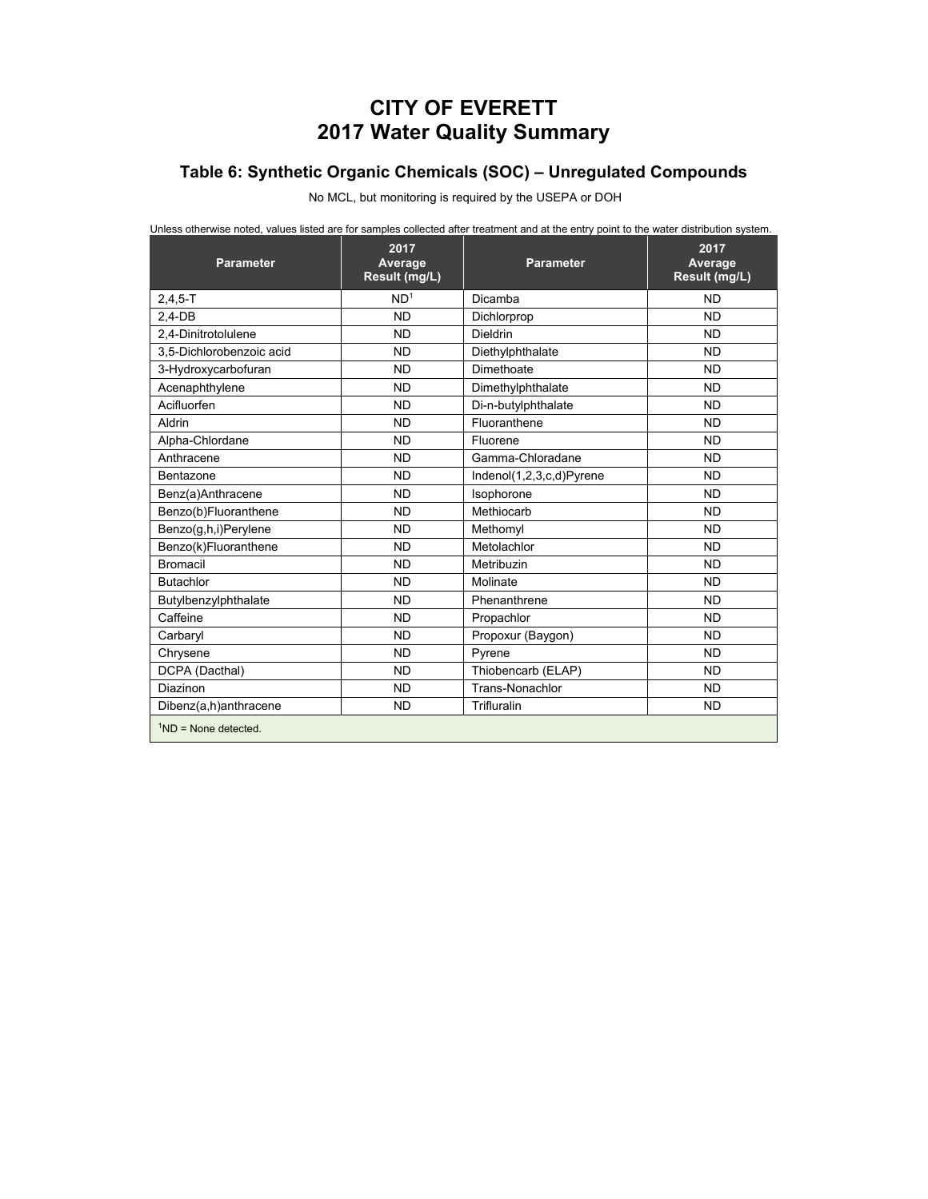### **Table 6: Synthetic Organic Chemicals (SOC) – Unregulated Compounds**

No MCL, but monitoring is required by the USEPA or DOH

| Unless otherwise noted, values listed are for samples collected after treatment and at the entry point to the water distribution system. |                                  |                          |                                  |
|------------------------------------------------------------------------------------------------------------------------------------------|----------------------------------|--------------------------|----------------------------------|
| <b>Parameter</b>                                                                                                                         | 2017<br>Average<br>Result (mg/L) | <b>Parameter</b>         | 2017<br>Average<br>Result (mg/L) |
| $2,4,5-T$                                                                                                                                | ND <sup>1</sup>                  | Dicamba                  | <b>ND</b>                        |
| $2,4-DB$                                                                                                                                 | <b>ND</b>                        | Dichlorprop              | <b>ND</b>                        |
| 2.4-Dinitrotolulene                                                                                                                      | <b>ND</b>                        | <b>Dieldrin</b>          | <b>ND</b>                        |
| 3.5-Dichlorobenzoic acid                                                                                                                 | <b>ND</b>                        | Diethylphthalate         | <b>ND</b>                        |
| 3-Hydroxycarbofuran                                                                                                                      | <b>ND</b>                        | Dimethoate               | <b>ND</b>                        |
| Acenaphthylene                                                                                                                           | <b>ND</b>                        | Dimethylphthalate        | <b>ND</b>                        |
| Acifluorfen                                                                                                                              | <b>ND</b>                        | Di-n-butylphthalate      | <b>ND</b>                        |
| Aldrin                                                                                                                                   | <b>ND</b>                        | Fluoranthene             | <b>ND</b>                        |
| Alpha-Chlordane                                                                                                                          | <b>ND</b>                        | Fluorene                 | <b>ND</b>                        |
| Anthracene                                                                                                                               | <b>ND</b>                        | Gamma-Chloradane         | <b>ND</b>                        |
| Bentazone                                                                                                                                | <b>ND</b>                        | Indenol(1,2,3,c,d)Pyrene | <b>ND</b>                        |
| Benz(a)Anthracene                                                                                                                        | <b>ND</b>                        | Isophorone               | <b>ND</b>                        |
| Benzo(b)Fluoranthene                                                                                                                     | <b>ND</b>                        | Methiocarb               | <b>ND</b>                        |
| Benzo(g,h,i)Perylene                                                                                                                     | <b>ND</b>                        | Methomyl                 | <b>ND</b>                        |
| Benzo(k)Fluoranthene                                                                                                                     | <b>ND</b>                        | Metolachlor              | <b>ND</b>                        |
| <b>Bromacil</b>                                                                                                                          | <b>ND</b>                        | Metribuzin               | <b>ND</b>                        |
| <b>Butachlor</b>                                                                                                                         | <b>ND</b>                        | Molinate                 | <b>ND</b>                        |
| Butylbenzylphthalate                                                                                                                     | <b>ND</b>                        | Phenanthrene             | <b>ND</b>                        |
| Caffeine                                                                                                                                 | <b>ND</b>                        | Propachlor               | <b>ND</b>                        |
| Carbaryl                                                                                                                                 | <b>ND</b>                        | Propoxur (Baygon)        | <b>ND</b>                        |
| Chrysene                                                                                                                                 | <b>ND</b>                        | Pyrene                   | <b>ND</b>                        |
| DCPA (Dacthal)                                                                                                                           | <b>ND</b>                        | Thiobencarb (ELAP)       | <b>ND</b>                        |
| Diazinon                                                                                                                                 | <b>ND</b>                        | <b>Trans-Nonachlor</b>   | <b>ND</b>                        |
| Dibenz(a,h)anthracene                                                                                                                    | <b>ND</b>                        | Trifluralin              | <b>ND</b>                        |
| ${}^{1}ND =$ None detected.                                                                                                              |                                  |                          |                                  |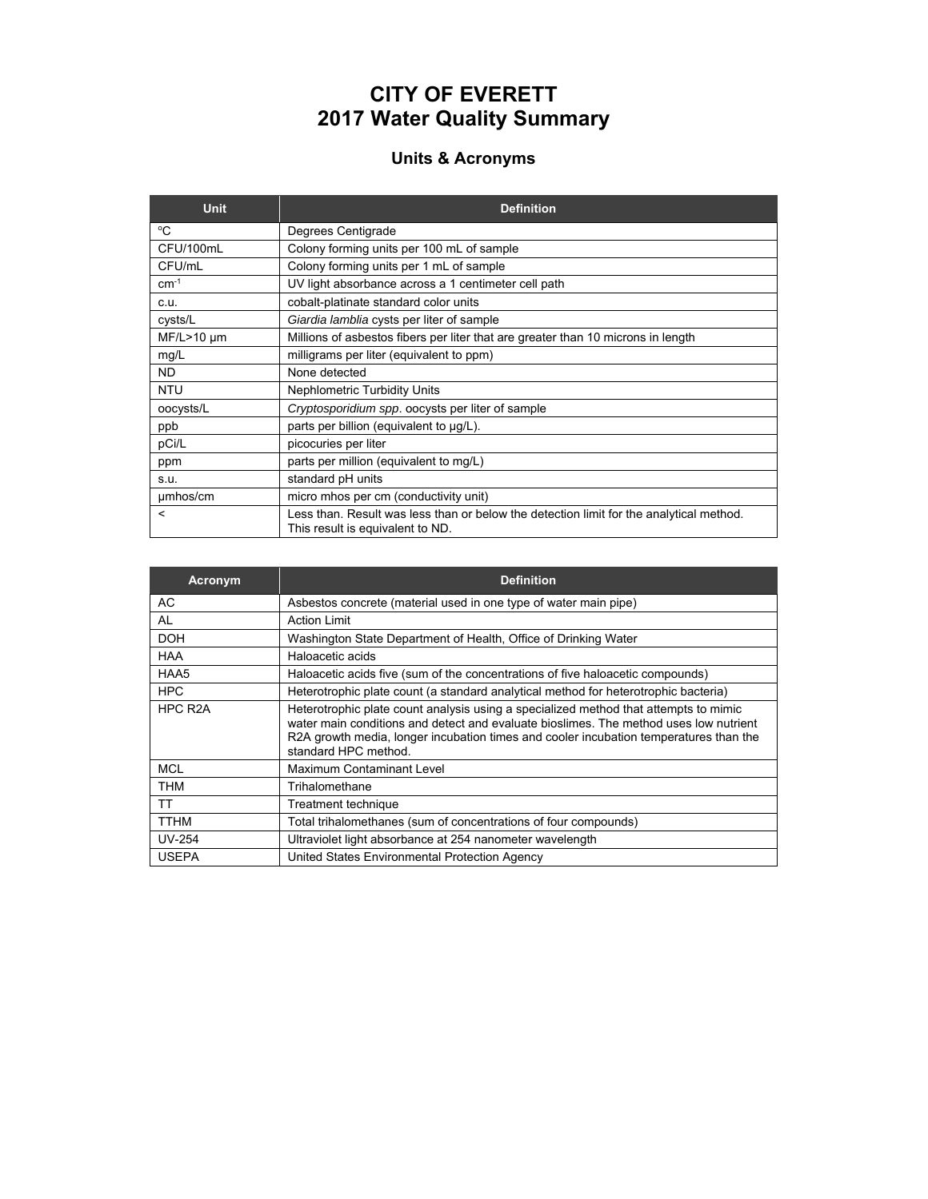## **Units & Acronyms**

| <b>Unit</b>       | <b>Definition</b>                                                                                                           |  |
|-------------------|-----------------------------------------------------------------------------------------------------------------------------|--|
| °C                | Degrees Centigrade                                                                                                          |  |
| CFU/100mL         | Colony forming units per 100 mL of sample                                                                                   |  |
| CFU/mL            | Colony forming units per 1 mL of sample                                                                                     |  |
| $cm-1$            | UV light absorbance across a 1 centimeter cell path                                                                         |  |
| c.u.              | cobalt-platinate standard color units                                                                                       |  |
| cysts/L           | Giardia lamblia cysts per liter of sample                                                                                   |  |
| $MF/L > 10 \mu m$ | Millions of asbestos fibers per liter that are greater than 10 microns in length                                            |  |
| mg/L              | milligrams per liter (equivalent to ppm)                                                                                    |  |
| <b>ND</b>         | None detected                                                                                                               |  |
| <b>NTU</b>        | <b>Nephlometric Turbidity Units</b>                                                                                         |  |
| oocysts/L         | Cryptosporidium spp. oocysts per liter of sample                                                                            |  |
| ppb               | parts per billion (equivalent to µg/L).                                                                                     |  |
| pCi/L             | picocuries per liter                                                                                                        |  |
| ppm               | parts per million (equivalent to mg/L)                                                                                      |  |
| s.u.              | standard pH units                                                                                                           |  |
| umhos/cm          | micro mhos per cm (conductivity unit)                                                                                       |  |
| <                 | Less than. Result was less than or below the detection limit for the analytical method.<br>This result is equivalent to ND. |  |

| Acronym              | <b>Definition</b>                                                                                                                                                                                                                                                                              |
|----------------------|------------------------------------------------------------------------------------------------------------------------------------------------------------------------------------------------------------------------------------------------------------------------------------------------|
| AC.                  | Asbestos concrete (material used in one type of water main pipe)                                                                                                                                                                                                                               |
| AL                   | <b>Action Limit</b>                                                                                                                                                                                                                                                                            |
| <b>DOH</b>           | Washington State Department of Health, Office of Drinking Water                                                                                                                                                                                                                                |
| <b>HAA</b>           | Haloacetic acids                                                                                                                                                                                                                                                                               |
| HAA5                 | Haloacetic acids five (sum of the concentrations of five haloacetic compounds)                                                                                                                                                                                                                 |
| <b>HPC</b>           | Heterotrophic plate count (a standard analytical method for heterotrophic bacteria)                                                                                                                                                                                                            |
| HPC R <sub>2</sub> A | Heterotrophic plate count analysis using a specialized method that attempts to mimic<br>water main conditions and detect and evaluate bioslimes. The method uses low nutrient<br>R2A growth media, longer incubation times and cooler incubation temperatures than the<br>standard HPC method. |
| <b>MCL</b>           | Maximum Contaminant Level                                                                                                                                                                                                                                                                      |
| <b>THM</b>           | Trihalomethane                                                                                                                                                                                                                                                                                 |
| TT                   | Treatment technique                                                                                                                                                                                                                                                                            |
| <b>TTHM</b>          | Total trihalomethanes (sum of concentrations of four compounds)                                                                                                                                                                                                                                |
| <b>UV-254</b>        | Ultraviolet light absorbance at 254 nanometer wavelength                                                                                                                                                                                                                                       |
| <b>USEPA</b>         | United States Environmental Protection Agency                                                                                                                                                                                                                                                  |